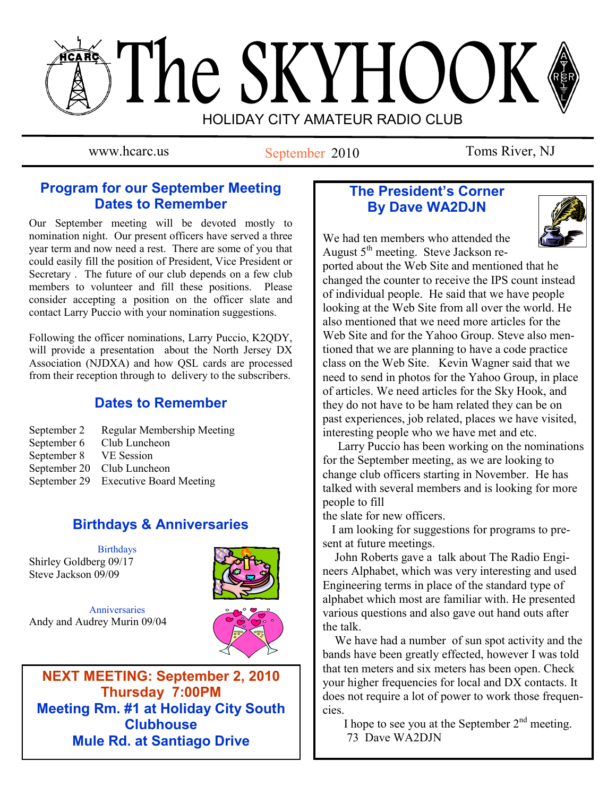# The SKYHOOK HOLIDAY CITY AMATEUR RADIO CLUB

www.hcarc.us September 2010 Toms River, NJ

## **Program for our September Meeting Dates to Remember**

Our September meeting will be devoted mostly to nomination night. Our present officers have served a three year term and now need a rest. There are some of you that could easily fill the position of President, Vice President or Secretary . The future of our club depends on a few club members to volunteer and fill these positions. Please consider accepting a position on the officer slate and contact Larry Puccio with your nomination suggestions.

Following the officer nominations, Larry Puccio, K2QDY, will provide a presentation about the North Jersey DX Association (NJDXA) and how QSL cards are processed from their reception through to delivery to the subscribers.

## **Dates to Remember**

September 2 Regular Membership Meeting<br>September 6 Club Luncheon Club Luncheon September 8 VE Session September 20 Club Luncheon September 29 Executive Board Meeting

# **Birthdays & Anniversaries**

Birthdays Shirley Goldberg 09/17 Steve Jackson 09/09



Anniversaries Andy and Audrey Murin 09/04



**NEXT MEETING: September 2, 2010 Thursday 7:00PM Meeting Rm. #1 at Holiday City South Clubhouse Mule Rd. at Santiago Drive**

## **The President's Corner By Dave WA2DJN**



We had ten members who attended the August  $5<sup>th</sup>$  meeting. Steve Jackson re-

ported about the Web Site and mentioned that he changed the counter to receive the IPS count instead of individual people. He said that we have people looking at the Web Site from all over the world. He also mentioned that we need more articles for the Web Site and for the Yahoo Group. Steve also mentioned that we are planning to have a code practice class on the Web Site. Kevin Wagner said that we need to send in photos for the Yahoo Group, in place of articles. We need articles for the Sky Hook, and they do not have to be ham related they can be on past experiences, job related, places we have visited, interesting people who we have met and etc.

 Larry Puccio has been working on the nominations for the September meeting, as we are looking to change club officers starting in November. He has talked with several members and is looking for more people to fill

the slate for new officers.

 I am looking for suggestions for programs to present at future meetings.

 John Roberts gave a talk about The Radio Engineers Alphabet, which was very interesting and used Engineering terms in place of the standard type of alphabet which most are familiar with. He presented various questions and also gave out hand outs after the talk.

 We have had a number of sun spot activity and the bands have been greatly effected, however I was told that ten meters and six meters has been open. Check your higher frequencies for local and DX contacts. It does not require a lot of power to work those frequencies.

 I hope to see you at the September 2nd meeting. 73 Dave WA2DJN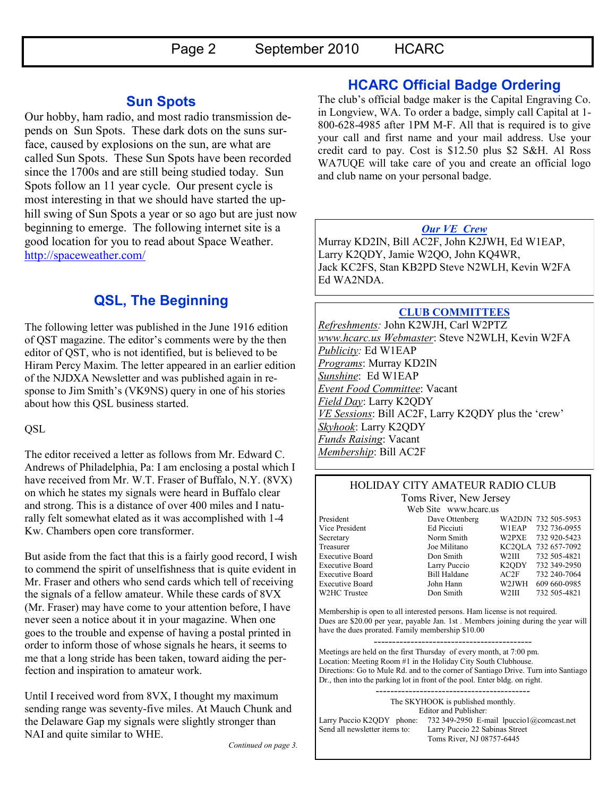## **Sun Spots**

Our hobby, ham radio, and most radio transmission depends on Sun Spots. These dark dots on the suns surface, caused by explosions on the sun, are what are called Sun Spots. These Sun Spots have been recorded since the 1700s and are still being studied today. Sun Spots follow an 11 year cycle. Our present cycle is most interesting in that we should have started the uphill swing of Sun Spots a year or so ago but are just now beginning to emerge. The following internet site is a good location for you to read about Space Weather. <http://spaceweather.com/>

# **QSL, The Beginning**

The following letter was published in the June 1916 edition of QST magazine. The editor"s comments were by the then editor of QST, who is not identified, but is believed to be Hiram Percy Maxim. The letter appeared in an earlier edition of the NJDXA Newsletter and was published again in response to Jim Smith's (VK9NS) query in one of his stories about how this QSL business started.

**QSL** 

The editor received a letter as follows from Mr. Edward C. Andrews of Philadelphia, Pa: I am enclosing a postal which I have received from Mr. W.T. Fraser of Buffalo, N.Y. (8VX) on which he states my signals were heard in Buffalo clear and strong. This is a distance of over 400 miles and I naturally felt somewhat elated as it was accomplished with 1-4 Kw. Chambers open core transformer.

But aside from the fact that this is a fairly good record, I wish to commend the spirit of unselfishness that is quite evident in Mr. Fraser and others who send cards which tell of receiving the signals of a fellow amateur. While these cards of 8VX (Mr. Fraser) may have come to your attention before, I have never seen a notice about it in your magazine. When one goes to the trouble and expense of having a postal printed in order to inform those of whose signals he hears, it seems to me that a long stride has been taken, toward aiding the perfection and inspiration to amateur work.

Until I received word from 8VX, I thought my maximum sending range was seventy-five miles. At Mauch Chunk and the Delaware Gap my signals were slightly stronger than NAI and quite similar to WHE.

## **HCARC Official Badge Ordering**

The club"s official badge maker is the Capital Engraving Co. in Longview, WA. To order a badge, simply call Capital at 1- 800-628-4985 after 1PM M-F. All that is required is to give your call and first name and your mail address. Use your credit card to pay. Cost is \$12.50 plus \$2 S&H. Al Ross WA7UQE will take care of you and create an official logo and club name on your personal badge.

## *Our VE Crew*

Murray KD2IN, Bill AC2F, John K2JWH, Ed W1EAP, Larry K2QDY, Jamie W2QO, John KQ4WR, Jack KC2FS, Stan KB2PD Steve N2WLH, Kevin W2FA Ed WA2NDA.

## **CLUB COMMITTEES**

*Refreshments:* John K2WJH, Carl W2PTZ *www.hcarc.us Webmaster*: Steve N2WLH, Kevin W2FA *Publicity:* Ed W1EAP *Programs*: Murray KD2IN *Sunshine*: Ed W1EAP *Event Food Committee*: Vacant *Field Day*: Larry K2QDY *VE Sessions*: Bill AC2F, Larry K2QDY plus the "crew" *Skyhook*: Larry K2QDY *Funds Raising*: Vacant *Membership*: Bill AC2F

#### HOLIDAY CITY AMATEUR RADIO CLUB Toms River, New Jersey

W2HC Trustee Don Smith

Web Site www.hcarc.us<br>Dave Ottenberg President Dave Ottenberg WA2DJN 732 505-5953 Vice President Ed Picciuti W1EAP 732 736-0955 Secretary Norm Smith W2PXE 732 920-5423 Treasurer Joe Militano KC2QLA 732 657-7092 Executive Board Don Smith W2III 732 505-4821 Executive Board Larry Puccio K2QDY 732 349-2950 Executive Board Bill Haldane AC2F 732 240-7064 Executive Board John Hann W2JWH 609 660-0985

Membership is open to all interested persons. Ham license is not required. Dues are \$20.00 per year, payable Jan. 1st . Members joining during the year will have the dues prorated. Family membership \$10.00

------------------------------------------- Meetings are held on the first Thursday of every month, at 7:00 pm. Location: Meeting Room #1 in the Holiday City South Clubhouse. Directions: Go to Mule Rd. and to the corner of Santiago Drive. Turn into Santiago Dr., then into the parking lot in front of the pool. Enter bldg. on right.

The SKYHOOK is published monthly. Editor and Publisher: Larry Puccio K2QDY phone: 732 349-2950 E-mail lpuccio1@comcast.net<br>Send all newsletter items to: Larry Puccio 22 Sabinas Street Larry Puccio 22 Sabinas Street Toms River, NJ 08757-6445

------------------------------------------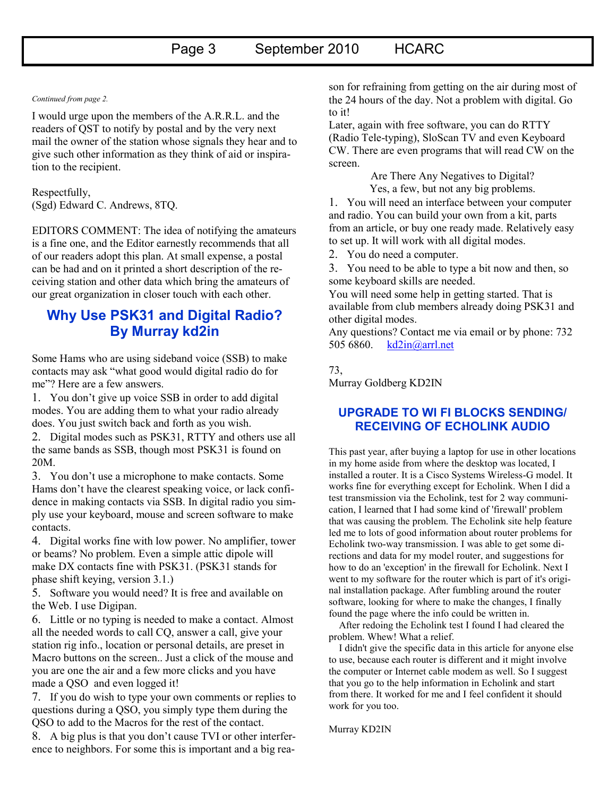#### *Continued from page 2.*

I would urge upon the members of the A.R.R.L. and the readers of QST to notify by postal and by the very next mail the owner of the station whose signals they hear and to give such other information as they think of aid or inspiration to the recipient.

Respectfully, (Sgd) Edward C. Andrews, 8TQ.

EDITORS COMMENT: The idea of notifying the amateurs is a fine one, and the Editor earnestly recommends that all of our readers adopt this plan. At small expense, a postal can be had and on it printed a short description of the receiving station and other data which bring the amateurs of our great organization in closer touch with each other.

## **Why Use PSK31 and Digital Radio? By Murray kd2in**

Some Hams who are using sideband voice (SSB) to make contacts may ask "what good would digital radio do for me"? Here are a few answers.

1. You don"t give up voice SSB in order to add digital modes. You are adding them to what your radio already does. You just switch back and forth as you wish.

2. Digital modes such as PSK31, RTTY and others use all the same bands as SSB, though most PSK31 is found on 20M.

3. You don"t use a microphone to make contacts. Some Hams don"t have the clearest speaking voice, or lack confidence in making contacts via SSB. In digital radio you simply use your keyboard, mouse and screen software to make contacts.

4. Digital works fine with low power. No amplifier, tower or beams? No problem. Even a simple attic dipole will make DX contacts fine with PSK31. (PSK31 stands for phase shift keying, version 3.1.)

5. Software you would need? It is free and available on the Web. I use Digipan.

6. Little or no typing is needed to make a contact. Almost all the needed words to call CQ, answer a call, give your station rig info., location or personal details, are preset in Macro buttons on the screen.. Just a click of the mouse and you are one the air and a few more clicks and you have made a QSO and even logged it!

7. If you do wish to type your own comments or replies to questions during a QSO, you simply type them during the QSO to add to the Macros for the rest of the contact.

8. A big plus is that you don"t cause TVI or other interference to neighbors. For some this is important and a big reason for refraining from getting on the air during most of the 24 hours of the day. Not a problem with digital. Go to it!

Later, again with free software, you can do RTTY (Radio Tele-typing), SloScan TV and even Keyboard CW. There are even programs that will read CW on the screen.

> Are There Any Negatives to Digital? Yes, a few, but not any big problems.

1. You will need an interface between your computer and radio. You can build your own from a kit, parts from an article, or buy one ready made. Relatively easy to set up. It will work with all digital modes.

2. You do need a computer.

3. You need to be able to type a bit now and then, so some keyboard skills are needed.

You will need some help in getting started. That is available from club members already doing PSK31 and other digital modes.

Any questions? Contact me via email or by phone: 732 505 6860. [kd2in@arrl.net](mailto:kd2in@arrl.net)

#### 73,

Murray Goldberg KD2IN

#### **UPGRADE TO WI FI BLOCKS SENDING/ RECEIVING OF ECHOLINK AUDIO**

This past year, after buying a laptop for use in other locations in my home aside from where the desktop was located, I installed a router. It is a Cisco Systems Wireless-G model. It works fine for everything except for Echolink. When I did a test transmission via the Echolink, test for 2 way communication, I learned that I had some kind of 'firewall' problem that was causing the problem. The Echolink site help feature led me to lots of good information about router problems for Echolink two-way transmission. I was able to get some directions and data for my model router, and suggestions for how to do an 'exception' in the firewall for Echolink. Next I went to my software for the router which is part of it's original installation package. After fumbling around the router software, looking for where to make the changes, I finally found the page where the info could be written in.

 After redoing the Echolink test I found I had cleared the problem. Whew! What a relief.

 I didn't give the specific data in this article for anyone else to use, because each router is different and it might involve the computer or Internet cable modem as well. So I suggest that you go to the help information in Echolink and start from there. It worked for me and I feel confident it should work for you too.

Murray KD2IN